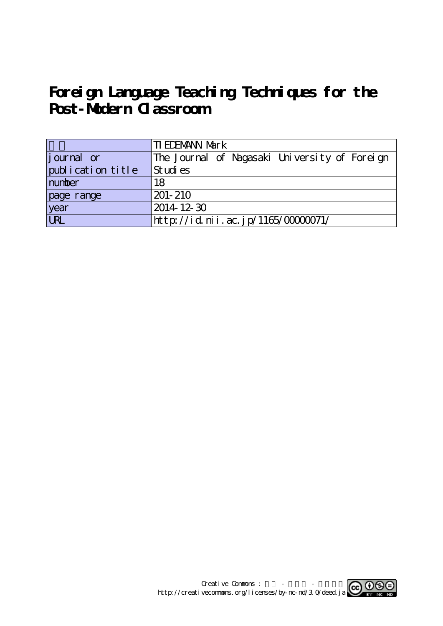# Foreign Language Teaching Techniques for the **Post-Modern Classroom**

|                   | <b>TI EDEMANN Mark</b>                        |  |  |  |  |
|-------------------|-----------------------------------------------|--|--|--|--|
| journal or        | The Journal of Nagasaki University of Foreign |  |  |  |  |
| publication title | Studies                                       |  |  |  |  |
| number            | 18                                            |  |  |  |  |
| page range        | $201 - 210$                                   |  |  |  |  |
| year<br>URL       | $2014$ 12 30                                  |  |  |  |  |
|                   | http://id.nii.ac.jp/1165/0000071/             |  |  |  |  |

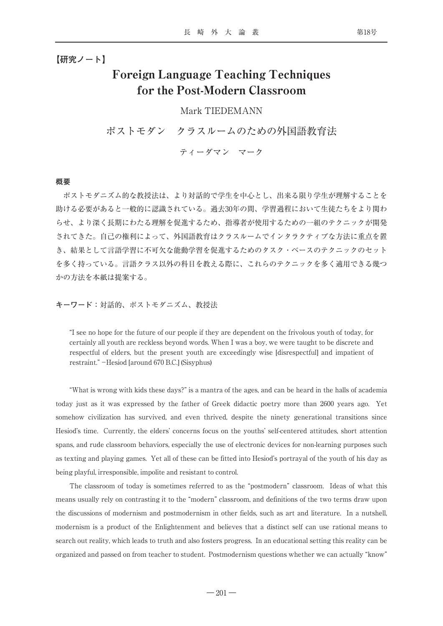**【研究ノート】**

## Foreign Language Teaching Techniques for the Post-Modern Classroom

### Mark TIEDEMANN

ポストモダン クラスルームのための外国語教育法

ティーダマン マーク

#### **概要**

ポストモダニズム的な教授法は、より対話的で学生を中心とし、出来る限り学生が理解することを 助ける必要があると一般的に認識されている。過去30年の間、学習過程において生徒たちをより関わ らせ、より深く長期にわたる理解を促進するため、指導者が使用するための一組のテクニックが開発 されてきた。自己の権利によって、外国語教育はクラスルームでインタラクティブな方法に重点を置 き、結果として言語学習に不可欠な能動学習を促進するためのタスク・ベースのテクニックのセット を多く持っている。言語クラス以外の科目を教える際に、これらのテクニックを多く適用できる幾つ かの方法を本紙は提案する。

**キーワード:**対話的、ポストモダニズム、教授法

"I see no hope for the future of our people if they are dependent on the frivolous youth of today, for certainly all youth are reckless beyond words. When I was a boy, we were taught to be discrete and respectful of elders, but the present youth are exceedingly wise [disrespectful] and impatient of restraint." -Hesiod [around 670 B.C.] (Sisyphus)

"What is wrong with kids these days?" is a mantra of the ages, and can be heard in the halls of academia today just as it was expressed by the father of Greek didactic poetry more than 2600 years ago. Yet somehow civilization has survived, and even thrived, despite the ninety generational transitions since Hesiod's time. Currently, the elders' concerns focus on the youths' self-centered attitudes, short attention spans, and rude classroom behaviors, especially the use of electronic devices for non-learning purposes such as texting and playing games. Yet all of these can be fitted into Hesiod's portrayal of the youth of his day as being playful, irresponsible, impolite and resistant to control.

The classroom of today is sometimes referred to as the "postmodern" classroom. Ideas of what this means usually rely on contrasting it to the "modern" classroom, and definitions of the two terms draw upon the discussions of modernism and postmodernism in other fields, such as art and literature. In a nutshell, modernism is a product of the Enlightenment and believes that a distinct self can use rational means to search out reality, which leads to truth and also fosters progress. In an educational setting this reality can be organized and passed on from teacher to student. Postmodernism questions whether we can actually "know"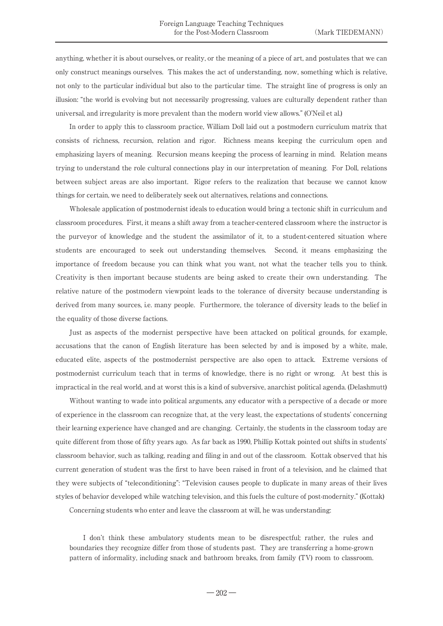anything, whether it is about ourselves, or reality, or the meaning of a piece of art, and postulates that we can only construct meanings ourselves. This makes the act of understanding, now, something which is relative, not only to the particular individual but also to the particular time. The straight line of progress is only an illusion: "the world is evolving but not necessarily progressing, values are culturally dependent rather than universal, and irregularity is more prevalent than the modern world view allows." (O'Neil et al.)

In order to apply this to classroom practice, William Doll laid out a postmodern curriculum matrix that consists of richness, recursion, relation and rigor. Richness means keeping the curriculum open and emphasizing layers of meaning. Recursion means keeping the process of learning in mind. Relation means trying to understand the role cultural connections play in our interpretation of meaning. For Doll, relations between subject areas are also important. Rigor refers to the realization that because we cannot know things for certain, we need to deliberately seek out alternatives, relations and connections.

Wholesale application of postmodernist ideals to education would bring a tectonic shift in curriculum and classroom procedures. First, it means a shift away from a teacher-centered classroom where the instructor is the purveyor of knowledge and the student the assimilator of it, to a student-centered situation where students are encouraged to seek out understanding themselves. Second, it means emphasizing the importance of freedom because you can think what you want, not what the teacher tells you to think. Creativity is then important because students are being asked to create their own understanding. The relative nature of the postmodern viewpoint leads to the tolerance of diversity because understanding is derived from many sources, i.e. many people. Furthermore, the tolerance of diversity leads to the belief in the equality of those diverse factions.

Just as aspects of the modernist perspective have been attacked on political grounds, for example, accusations that the canon of English literature has been selected by and is imposed by a white, male, educated elite, aspects of the postmodernist perspective are also open to attack. Extreme versions of postmodernist curriculum teach that in terms of knowledge, there is no right or wrong. At best this is impractical in the real world, and at worst this is a kind of subversive, anarchist political agenda. (Delashmutt)

Without wanting to wade into political arguments, any educator with a perspective of a decade or more of experience in the classroom can recognize that, at the very least, the expectations of students' concerning their learning experience have changed and are changing. Certainly, the students in the classroom today are quite different from those of fifty years ago. As far back as 1990, Phillip Kottak pointed out shifts in students' classroom behavior, such as talking, reading and filing in and out of the classroom. Kottak observed that his current generation of student was the first to have been raised in front of a television, and he claimed that they were subjects of "teleconditioning": "Television causes people to duplicate in many areas of their lives styles of behavior developed while watching television, and this fuels the culture of post-modernity." (Kottak)

Concerning students who enter and leave the classroom at will, he was understanding:

I don't think these ambulatory students mean to be disrespectful; rather, the rules and boundaries they recognize differ from those of students past. They are transferring a home-grown pattern of informality, including snack and bathroom breaks, from family (TV) room to classroom.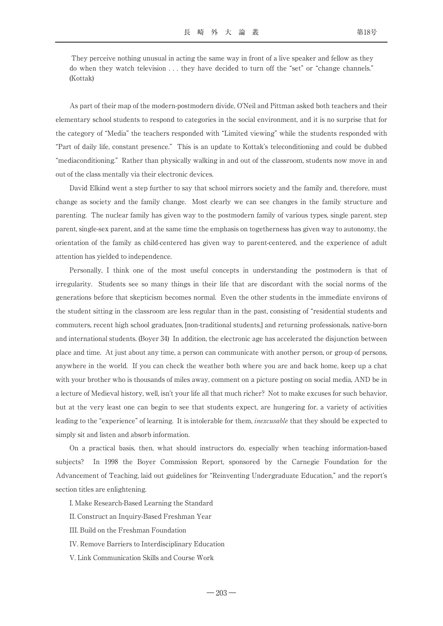They perceive nothing unusual in acting the same way in front of a live speaker and fellow as they do when they watch television . . . they have decided to turn off the "set" or "change channels." (Kottak)

As part of their map of the modern-postmodern divide, O'Neil and Pittman asked both teachers and their elementary school students to respond to categories in the social environment, and it is no surprise that for the category of "Media" the teachers responded with "Limited viewing" while the students responded with "Part of daily life, constant presence." This is an update to Kottak's teleconditioning and could be dubbed "mediaconditioning." Rather than physically walking in and out of the classroom, students now move in and out of the class mentally via their electronic devices.

David Elkind went a step further to say that school mirrors society and the family and, therefore, must change as society and the family change. Most clearly we can see changes in the family structure and parenting. The nuclear family has given way to the postmodern family of various types, single parent, step parent, single-sex parent, and at the same time the emphasis on togetherness has given way to autonomy, the orientation of the family as child-centered has given way to parent-centered, and the experience of adult attention has yielded to independence.

Personally, I think one of the most useful concepts in understanding the postmodern is that of irregularity. Students see so many things in their life that are discordant with the social norms of the generations before that skepticism becomes normal. Even the other students in the immediate environs of the student sitting in the classroom are less regular than in the past, consisting of "residential students and commuters, recent high school graduates, [non-traditional students,] and returning professionals, native-born and international students. (Boyer 34) In addition, the electronic age has accelerated the disjunction between place and time. At just about any time, a person can communicate with another person, or group of persons, anywhere in the world. If you can check the weather both where you are and back home, keep up a chat with your brother who is thousands of miles away, comment on a picture posting on social media, AND be in a lecture of Medieval history, well, isn't your life all that much richer? Not to make excuses for such behavior, but at the very least one can begin to see that students expect, are hungering for, a variety of activities leading to the "experience" of learning. It is intolerable for them, inexcusable that they should be expected to simply sit and listen and absorb information.

On a practical basis, then, what should instructors do, especially when teaching information-based subjects? In 1998 the Boyer Commission Report, sponsored by the Carnegie Foundation for the Advancement of Teaching, laid out guidelines for "Reinventing Undergraduate Education," and the report's section titles are enlightening.

I. Make Research-Based Learning the Standard

- II. Construct an Inquiry-Based Freshman Year
- III. Build on the Freshman Foundation
- IV. Remove Barriers to Interdisciplinary Education
- V. Link Communication Skills and Course Work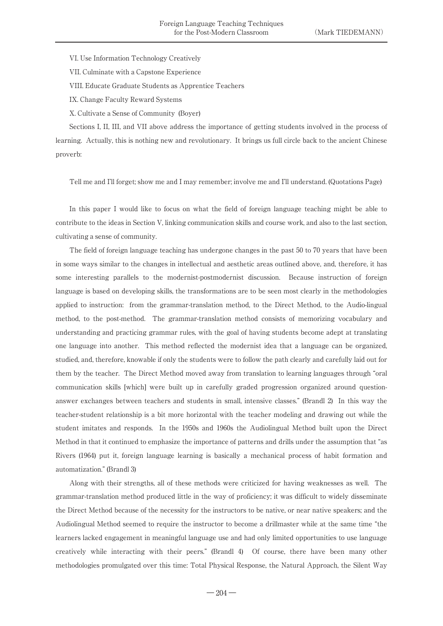VI. Use Information Technology Creatively

VII. Culminate with a Capstone Experience

VIII. Educate Graduate Students as Apprentice Teachers

IX. Change Faculty Reward Systems

X. Cultivate a Sense of Community (Boyer)

Sections I, II, III, and VII above address the importance of getting students involved in the process of learning. Actually, this is nothing new and revolutionary. It brings us full circle back to the ancient Chinese proverb:

Tell me and I'll forget; show me and I may remember; involve me and I'll understand. (Quotations Page)

In this paper I would like to focus on what the field of foreign language teaching might be able to contribute to the ideas in Section V, linking communication skills and course work, and also to the last section, cultivating a sense of community.

The field of foreign language teaching has undergone changes in the past 50 to 70 years that have been in some ways similar to the changes in intellectual and aesthetic areas outlined above, and, therefore, it has some interesting parallels to the modernist-postmodernist discussion. Because instruction of foreign language is based on developing skills, the transformations are to be seen most clearly in the methodologies applied to instruction: from the grammar-translation method, to the Direct Method, to the Audio-lingual method, to the post-method. The grammar-translation method consists of memorizing vocabulary and understanding and practicing grammar rules, with the goal of having students become adept at translating one language into another. This method reflected the modernist idea that a language can be organized, studied, and, therefore, knowable if only the students were to follow the path clearly and carefully laid out for them by the teacher. The Direct Method moved away from translation to learning languages through "oral communication skills [which] were built up in carefully graded progression organized around questionanswer exchanges between teachers and students in small, intensive classes." (Brandl 2) In this way the teacher-student relationship is a bit more horizontal with the teacher modeling and drawing out while the student imitates and responds. In the 1950s and 1960s the Audiolingual Method built upon the Direct Method in that it continued to emphasize the importance of patterns and drills under the assumption that "as Rivers (1964) put it, foreign language learning is basically a mechanical process of habit formation and automatization." (Brandl 3)

Along with their strengths, all of these methods were criticized for having weaknesses as well. The grammar-translation method produced little in the way of proficiency; it was difficult to widely disseminate the Direct Method because of the necessity for the instructors to be native, or near native speakers; and the Audiolingual Method seemed to require the instructor to become a drillmaster while at the same time "the learners lacked engagement in meaningful language use and had only limited opportunities to use language creatively while interacting with their peers." (Brandl 4) Of course, there have been many other methodologies promulgated over this time: Total Physical Response, the Natural Approach, the Silent Way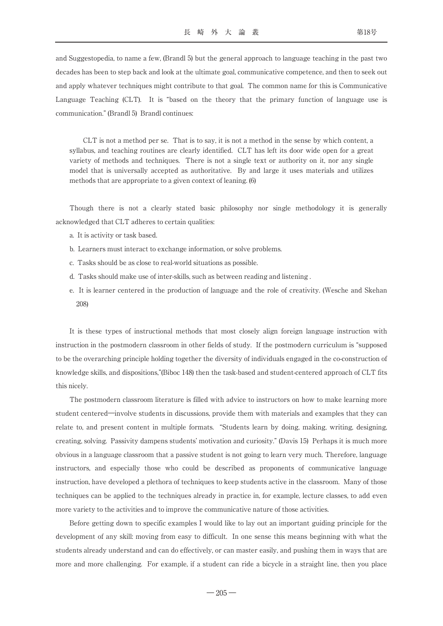and Suggestopedia, to name a few, (Brandl 5) but the general approach to language teaching in the past two decades has been to step back and look at the ultimate goal, communicative competence, and then to seek out and apply whatever techniques might contribute to that goal. The common name for this is Communicative Language Teaching (CLT). It is "based on the theory that the primary function of language use is communication." (Brandl 5) Brandl continues:

CLT is not a method per se. That is to say, it is not a method in the sense by which content, a syllabus, and teaching routines are clearly identified. CLT has left its door wide open for a great variety of methods and techniques. There is not a single text or authority on it, nor any single model that is universally accepted as authoritative. By and large it uses materials and utilizes methods that are appropriate to a given context of leaning. (6)

Though there is not a clearly stated basic philosophy nor single methodology it is generally acknowledged that CLT adheres to certain qualities:

- a. It is activity or task based.
- b. Learners must interact to exchange information, or solve problems.
- c. Tasks should be as close to real-world situations as possible.
- d. Tasks should make use of inter-skills, such as between reading and listening .
- e. It is learner centered in the production of language and the role of creativity. (Wesche and Skehan 208)

It is these types of instructional methods that most closely align foreign language instruction with instruction in the postmodern classroom in other fields of study. If the postmodern curriculum is "supposed to be the overarching principle holding together the diversity of individuals engaged in the co-construction of knowledge skills, and dispositions,"(Biboc 148) then the task-based and student-centered approach of CLT fits this nicely.

The postmodern classroom literature is filled with advice to instructors on how to make learning more student centered―involve students in discussions, provide them with materials and examples that they can relate to, and present content in multiple formats. "Students learn by doing, making, writing, designing, creating, solving. Passivity dampens students' motivation and curiosity." (Davis 15) Perhaps it is much more obvious in a language classroom that a passive student is not going to learn very much. Therefore, language instructors, and especially those who could be described as proponents of communicative language instruction, have developed a plethora of techniques to keep students active in the classroom. Many of those techniques can be applied to the techniques already in practice in, for example, lecture classes, to add even more variety to the activities and to improve the communicative nature of those activities.

Before getting down to specific examples I would like to lay out an important guiding principle for the development of any skill: moving from easy to difficult. In one sense this means beginning with what the students already understand and can do effectively, or can master easily, and pushing them in ways that are more and more challenging. For example, if a student can ride a bicycle in a straight line, then you place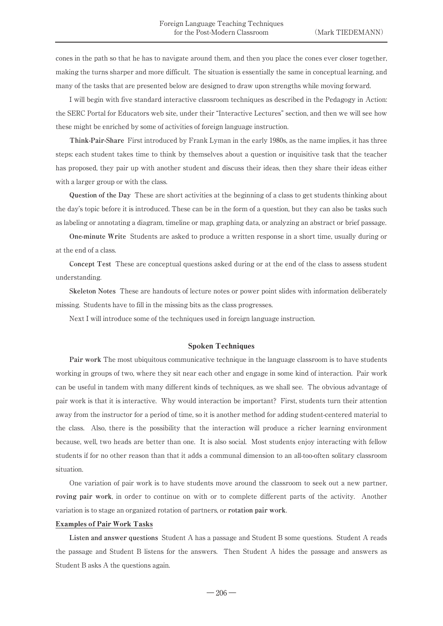cones in the path so that he has to navigate around them, and then you place the cones ever closer together, making the turns sharper and more difficult. The situation is essentially the same in conceptual learning, and many of the tasks that are presented below are designed to draw upon strengths while moving forward.

I will begin with five standard interactive classroom techniques as described in the Pedagogy in Action: the SERC Portal for Educators web site, under their "Interactive Lectures" section, and then we will see how these might be enriched by some of activities of foreign language instruction.

**Think-Pair-Share** First introduced by Frank Lyman in the early 1980s, as the name implies, it has three steps: each student takes time to think by themselves about a question or inquisitive task that the teacher has proposed, they pair up with another student and discuss their ideas, then they share their ideas either with a larger group or with the class.

**Question of the Day** These are short activities at the beginning of a class to get students thinking about the day's topic before it is introduced. These can be in the form of a question, but they can also be tasks such as labeling or annotating a diagram, timeline or map, graphing data, or analyzing an abstract or brief passage.

**One-minute Write** Students are asked to produce a written response in a short time, usually during or at the end of a class.

**Concept Test** These are conceptual questions asked during or at the end of the class to assess student understanding.

**Skeleton Notes** These are handouts of lecture notes or power point slides with information deliberately missing. Students have to fill in the missing bits as the class progresses.

Next I will introduce some of the techniques used in foreign language instruction.

#### Spoken Techniques

**Pair work** The most ubiquitous communicative technique in the language classroom is to have students working in groups of two, where they sit near each other and engage in some kind of interaction. Pair work can be useful in tandem with many different kinds of techniques, as we shall see. The obvious advantage of pair work is that it is interactive. Why would interaction be important? First, students turn their attention away from the instructor for a period of time, so it is another method for adding student-centered material to the class. Also, there is the possibility that the interaction will produce a richer learning environment because, well, two heads are better than one. It is also social. Most students enjoy interacting with fellow students if for no other reason than that it adds a communal dimension to an all-too-often solitary classroom situation.

One variation of pair work is to have students move around the classroom to seek out a new partner, **roving pair work**, in order to continue on with or to complete different parts of the activity. Another variation is to stage an organized rotation of partners, or **rotation pair work**.

#### Examples of Pair Work Tasks

**Listen and answer questions** Student A has a passage and Student B some questions. Student A reads the passage and Student B listens for the answers. Then Student A hides the passage and answers as Student B asks A the questions again.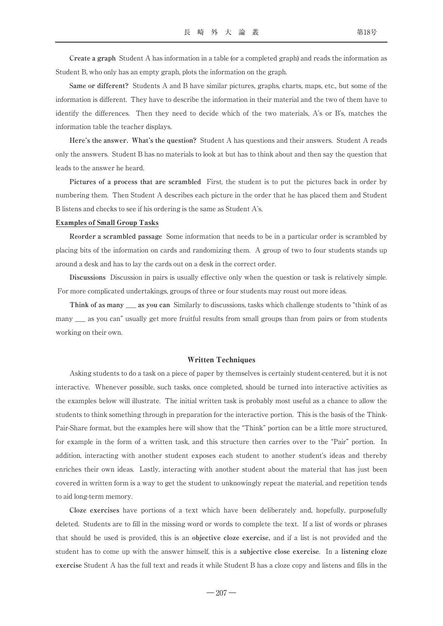**Create a graph** Student A has information in a table (or a completed graph) and reads the information as Student B, who only has an empty graph, plots the information on the graph.

**Same or different?** Students A and B have similar pictures, graphs, charts, maps, etc., but some of the information is different. They have to describe the information in their material and the two of them have to identify the differences. Then they need to decide which of the two materials, A's or B's, matches the information table the teacher displays.

**Here's the answer. What's the question?** Student A has questions and their answers. Student A reads only the answers. Student B has no materials to look at but has to think about and then say the question that leads to the answer he heard.

**Pictures of a process that are scrambled** First, the student is to put the pictures back in order by numbering them. Then Student A describes each picture in the order that he has placed them and Student B listens and checks to see if his ordering is the same as Student A's.

#### Examples of Small Group Tasks

**Reorder a scrambled passage** Some information that needs to be in a particular order is scrambled by placing bits of the information on cards and randomizing them. A group of two to four students stands up around a desk and has to lay the cards out on a desk in the correct order.

**Discussions** Discussion in pairs is usually effective only when the question or task is relatively simple. For more complicated undertakings, groups of three or four students may roust out more ideas.

**Think of as many \_\_\_ as you can** Similarly to discussions, tasks which challenge students to "think of as many  $\equiv$  as you can" usually get more fruitful results from small groups than from pairs or from students working on their own.

#### Written Techniques

Asking students to do a task on a piece of paper by themselves is certainly student-centered, but it is not interactive. Whenever possible, such tasks, once completed, should be turned into interactive activities as the examples below will illustrate. The initial written task is probably most useful as a chance to allow the students to think something through in preparation for the interactive portion. This is the basis of the Think-Pair-Share format, but the examples here will show that the "Think" portion can be a little more structured, for example in the form of a written task, and this structure then carries over to the "Pair" portion. In addition, interacting with another student exposes each student to another student's ideas and thereby enriches their own ideas. Lastly, interacting with another student about the material that has just been covered in written form is a way to get the student to unknowingly repeat the material, and repetition tends to aid long-term memory.

**Cloze exercises** have portions of a text which have been deliberately and, hopefully, purposefully deleted. Students are to fill in the missing word or words to complete the text. If a list of words or phrases that should be used is provided, this is an **objective cloze exercise,** and if a list is not provided and the student has to come up with the answer himself, this is a **subjective close exercise**. In a **listening cloze exercise** Student A has the full text and reads it while Student B has a cloze copy and listens and fills in the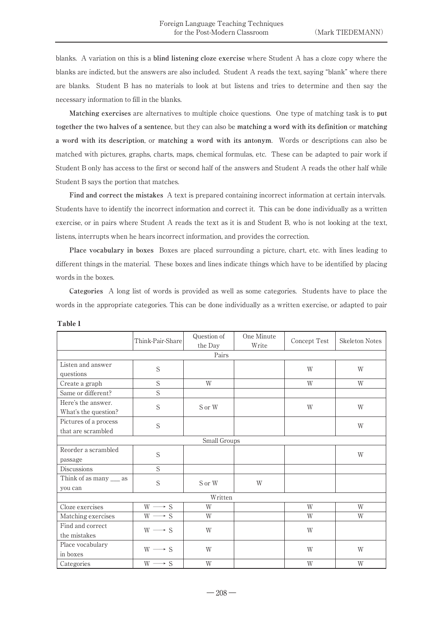blanks. A variation on this is a **blind listening cloze exercise** where Student A has a cloze copy where the blanks are indicted, but the answers are also included. Student A reads the text, saying "blank" where there are blanks. Student B has no materials to look at but listens and tries to determine and then say the necessary information to fill in the blanks.

**Matching exercises** are alternatives to multiple choice questions. One type of matching task is to **put together the two halves of a sentence**, but they can also be **matching a word with its definition** or **matching a word with its description**, or **matching a word with its antonym**. Words or descriptions can also be matched with pictures, graphs, charts, maps, chemical formulas, etc. These can be adapted to pair work if Student B only has access to the first or second half of the answers and Student A reads the other half while Student B says the portion that matches.

**Find and correct the mistakes** A text is prepared containing incorrect information at certain intervals. Students have to identify the incorrect information and correct it. This can be done individually as a written exercise, or in pairs where Student A reads the text as it is and Student B, who is not looking at the text, listens, interrupts when he hears incorrect information, and provides the correction.

**Place vocabulary in boxes** Boxes are placed surrounding a picture, chart, etc. with lines leading to different things in the material. These boxes and lines indicate things which have to be identified by placing words in the boxes.

**Categories** A long list of words is provided as well as some categories. Students have to place the words in the appropriate categories. This can be done individually as a written exercise, or adapted to pair

|                        | Think-Pair-Share                       | Question of | One Minute | Concept Test | <b>Skeleton Notes</b> |  |
|------------------------|----------------------------------------|-------------|------------|--------------|-----------------------|--|
|                        |                                        | the Day     | Write      |              |                       |  |
| Pairs                  |                                        |             |            |              |                       |  |
| Listen and answer      | S                                      |             |            | W            | W                     |  |
| questions              |                                        |             |            |              |                       |  |
| Create a graph         | S                                      | W           |            | W            | W                     |  |
| Same or different?     | S                                      |             |            |              |                       |  |
| Here's the answer.     | S                                      | S or W      |            | W            | W                     |  |
| What's the question?   |                                        |             |            |              |                       |  |
| Pictures of a process  |                                        |             |            |              |                       |  |
| that are scrambled     | S                                      |             |            |              | W                     |  |
| Small Groups           |                                        |             |            |              |                       |  |
| Reorder a scrambled    | S                                      |             |            |              | W                     |  |
| passage                |                                        |             |            |              |                       |  |
| <b>Discussions</b>     | S                                      |             |            |              |                       |  |
| Think of as many __ as | S                                      | S or W      | W          |              |                       |  |
| you can                |                                        |             |            |              |                       |  |
| Written                |                                        |             |            |              |                       |  |
| Cloze exercises        | $\textbf{W}\longrightarrow \textbf{S}$ | W           |            | W            | W                     |  |
| Matching exercises     | $W \longrightarrow \overline{S}$       | W           |            | W            | W                     |  |
| Find and correct       |                                        | W           |            | W            |                       |  |
| the mistakes           | $W \longrightarrow S$                  |             |            |              |                       |  |
| Place vocabulary       |                                        | W           |            |              | W                     |  |
| in boxes               | $W \longrightarrow S$                  |             |            | W            |                       |  |
| Categories             | $W \longrightarrow S$                  | W           |            | W            | W                     |  |

Table 1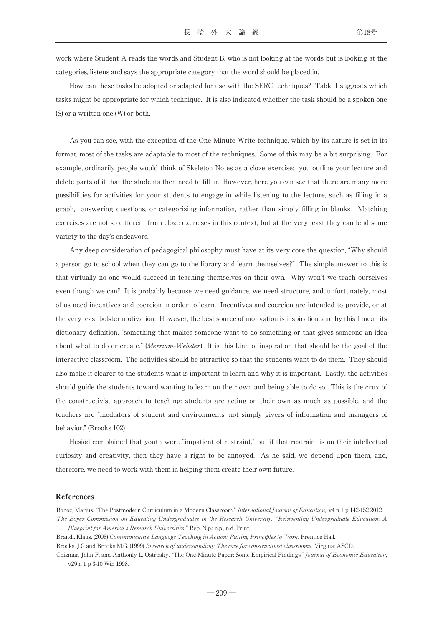work where Student A reads the words and Student B, who is not looking at the words but is looking at the categories, listens and says the appropriate category that the word should be placed in.

How can these tasks be adopted or adapted for use with the SERC techniques? Table 1 suggests which tasks might be appropriate for which technique. It is also indicated whether the task should be a spoken one (S) or a written one (W) or both.

As you can see, with the exception of the One Minute Write technique, which by its nature is set in its format, most of the tasks are adaptable to most of the techniques. Some of this may be a bit surprising. For example, ordinarily people would think of Skeleton Notes as a cloze exercise: you outline your lecture and delete parts of it that the students then need to fill in. However, here you can see that there are many more possibilities for activities for your students to engage in while listening to the lecture, such as filling in a graph, answering questions, or categorizing information, rather than simply filling in blanks. Matching exercises are not so different from cloze exercises in this context, but at the very least they can lend some variety to the day's endeavors.

Any deep consideration of pedagogical philosophy must have at its very core the question, "Why should a person go to school when they can go to the library and learn themselves?" The simple answer to this is that virtually no one would succeed in teaching themselves on their own. Why won't we teach ourselves even though we can? It is probably because we need guidance, we need structure, and, unfortunately, most of us need incentives and coercion in order to learn. Incentives and coercion are intended to provide, or at the very least bolster motivation. However, the best source of motivation is inspiration, and by this I mean its dictionary definition, "something that makes someone want to do something or that gives someone an idea about what to do or create." (Merriam-Webster) It is this kind of inspiration that should be the goal of the interactive classroom. The activities should be attractive so that the students want to do them. They should also make it clearer to the students what is important to learn and why it is important. Lastly, the activities should guide the students toward wanting to learn on their own and being able to do so. This is the crux of the constructivist approach to teaching: students are acting on their own as much as possible, and the teachers are "mediators of student and environments, not simply givers of information and managers of behavior." (Brooks 102)

Hesiod complained that youth were "impatient of restraint," but if that restraint is on their intellectual curiosity and creativity, then they have a right to be annoyed. As he said, we depend upon them, and, therefore, we need to work with them in helping them create their own future.

#### References

Boboc, Marius. "The Postmodern Curriculum in a Modern Classroom." International Journal of Education, v4 n 1 p 142-152 2012. The Boyer Commission on Educating Undergraduates in the Research University. "Reinventing Undergraduate Education: A

Blueprint for America's Research Universities." Rep. N.p.: n.p., n.d. Print.

Brandl, Klaus. (2008) Communicative Language Teaching in Action: Putting Principles to Work. Prentice Hall.

Brooks, J.G and Brooks M.G. (1999) In search of understanding: The case for constructivist classrooms. Virgina: ASCD.

Chizmar, John F. and Anthonly L. Ostrosky. "The One-Minute Paper: Some Empirical Findings," Journal of Economic Education, v29 n 1 p 3-10 Win 1998.